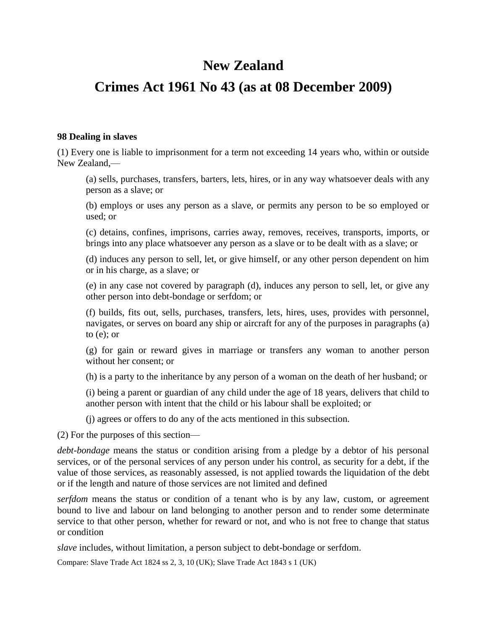# **New Zealand**

## **Crimes Act 1961 No 43 (as at 08 December 2009)**

#### **98 Dealing in slaves**

(1) Every one is liable to imprisonment for a term not exceeding 14 years who, within or outside New Zealand,—

(a) sells, purchases, transfers, barters, lets, hires, or in any way whatsoever deals with any person as a slave; or

(b) employs or uses any person as a slave, or permits any person to be so employed or used; or

(c) detains, confines, imprisons, carries away, removes, receives, transports, imports, or brings into any place whatsoever any person as a slave or to be dealt with as a slave; or

(d) induces any person to sell, let, or give himself, or any other person dependent on him or in his charge, as a slave; or

(e) in any case not covered by paragraph (d), induces any person to sell, let, or give any other person into debt-bondage or serfdom; or

(f) builds, fits out, sells, purchases, transfers, lets, hires, uses, provides with personnel, navigates, or serves on board any ship or aircraft for any of the purposes in paragraphs (a) to (e); or

(g) for gain or reward gives in marriage or transfers any woman to another person without her consent; or

(h) is a party to the inheritance by any person of a woman on the death of her husband; or

(i) being a parent or guardian of any child under the age of 18 years, delivers that child to another person with intent that the child or his labour shall be exploited; or

(j) agrees or offers to do any of the acts mentioned in this subsection.

(2) For the purposes of this section—

*debt-bondage* means the status or condition arising from a pledge by a debtor of his personal services, or of the personal services of any person under his control, as security for a debt, if the value of those services, as reasonably assessed, is not applied towards the liquidation of the debt or if the length and nature of those services are not limited and defined

*serfdom* means the status or condition of a tenant who is by any law, custom, or agreement bound to live and labour on land belonging to another person and to render some determinate service to that other person, whether for reward or not, and who is not free to change that status or condition

*slave* includes, without limitation, a person subject to debt-bondage or serfdom.

Compare: Slave Trade Act 1824 ss 2, 3, 10 (UK); Slave Trade Act 1843 s 1 (UK)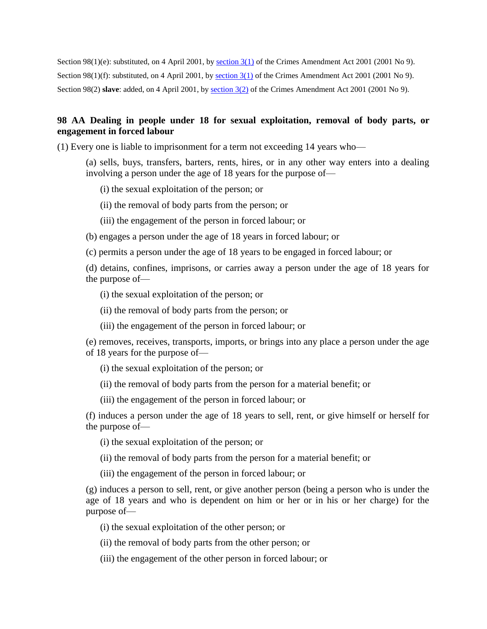Section  $98(1)(e)$ : substituted, on 4 April 2001, by section  $3(1)$  of the Crimes Amendment Act 2001 (2001 No 9). Section 98(1)(f): substituted, on 4 April 2001, by [section 3\(1\)](http://www.legislation.govt.nz/act/public/1961/0043/latest/link.aspx?id=DLM88528#DLM88528) of the Crimes Amendment Act 2001 (2001 No 9). Section 98(2) **slave**: added, on 4 April 2001, by [section 3\(2\)](http://www.legislation.govt.nz/act/public/1961/0043/latest/link.aspx?id=DLM88528#DLM88528) of the Crimes Amendment Act 2001 (2001 No 9).

## **98 AA Dealing in people under 18 for sexual exploitation, removal of body parts, or engagement in forced labour**

(1) Every one is liable to imprisonment for a term not exceeding 14 years who—

(a) sells, buys, transfers, barters, rents, hires, or in any other way enters into a dealing involving a person under the age of 18 years for the purpose of—

(i) the sexual exploitation of the person; or

(ii) the removal of body parts from the person; or

(iii) the engagement of the person in forced labour; or

(b) engages a person under the age of 18 years in forced labour; or

(c) permits a person under the age of 18 years to be engaged in forced labour; or

(d) detains, confines, imprisons, or carries away a person under the age of 18 years for the purpose of—

(i) the sexual exploitation of the person; or

(ii) the removal of body parts from the person; or

(iii) the engagement of the person in forced labour; or

(e) removes, receives, transports, imports, or brings into any place a person under the age of 18 years for the purpose of—

(i) the sexual exploitation of the person; or

(ii) the removal of body parts from the person for a material benefit; or

(iii) the engagement of the person in forced labour; or

(f) induces a person under the age of 18 years to sell, rent, or give himself or herself for the purpose of—

- (i) the sexual exploitation of the person; or
- (ii) the removal of body parts from the person for a material benefit; or
- (iii) the engagement of the person in forced labour; or

(g) induces a person to sell, rent, or give another person (being a person who is under the age of 18 years and who is dependent on him or her or in his or her charge) for the purpose of—

(i) the sexual exploitation of the other person; or

(ii) the removal of body parts from the other person; or

(iii) the engagement of the other person in forced labour; or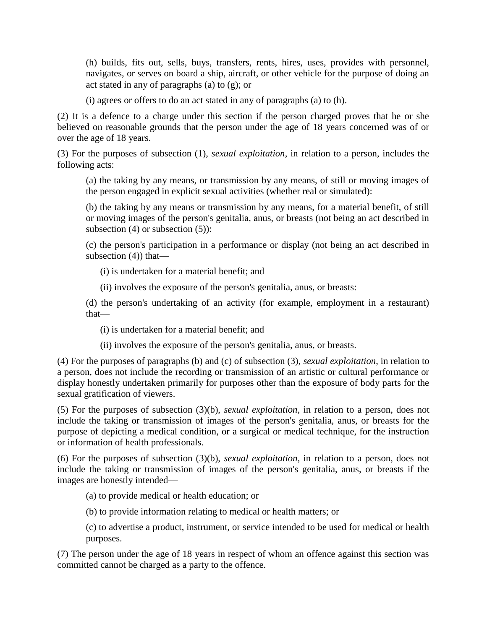(h) builds, fits out, sells, buys, transfers, rents, hires, uses, provides with personnel, navigates, or serves on board a ship, aircraft, or other vehicle for the purpose of doing an act stated in any of paragraphs (a) to (g); or

(i) agrees or offers to do an act stated in any of paragraphs (a) to (h).

(2) It is a defence to a charge under this section if the person charged proves that he or she believed on reasonable grounds that the person under the age of 18 years concerned was of or over the age of 18 years.

(3) For the purposes of subsection (1), *sexual exploitation*, in relation to a person, includes the following acts:

(a) the taking by any means, or transmission by any means, of still or moving images of the person engaged in explicit sexual activities (whether real or simulated):

(b) the taking by any means or transmission by any means, for a material benefit, of still or moving images of the person's genitalia, anus, or breasts (not being an act described in subsection  $(4)$  or subsection  $(5)$ :

(c) the person's participation in a performance or display (not being an act described in subsection (4)) that—

(i) is undertaken for a material benefit; and

(ii) involves the exposure of the person's genitalia, anus, or breasts:

(d) the person's undertaking of an activity (for example, employment in a restaurant) that—

(i) is undertaken for a material benefit; and

(ii) involves the exposure of the person's genitalia, anus, or breasts.

(4) For the purposes of paragraphs (b) and (c) of subsection (3), *sexual exploitation*, in relation to a person, does not include the recording or transmission of an artistic or cultural performance or display honestly undertaken primarily for purposes other than the exposure of body parts for the sexual gratification of viewers.

(5) For the purposes of subsection (3)(b), *sexual exploitation*, in relation to a person, does not include the taking or transmission of images of the person's genitalia, anus, or breasts for the purpose of depicting a medical condition, or a surgical or medical technique, for the instruction or information of health professionals.

(6) For the purposes of subsection (3)(b), *sexual exploitation*, in relation to a person, does not include the taking or transmission of images of the person's genitalia, anus, or breasts if the images are honestly intended—

(a) to provide medical or health education; or

(b) to provide information relating to medical or health matters; or

(c) to advertise a product, instrument, or service intended to be used for medical or health purposes.

(7) The person under the age of 18 years in respect of whom an offence against this section was committed cannot be charged as a party to the offence.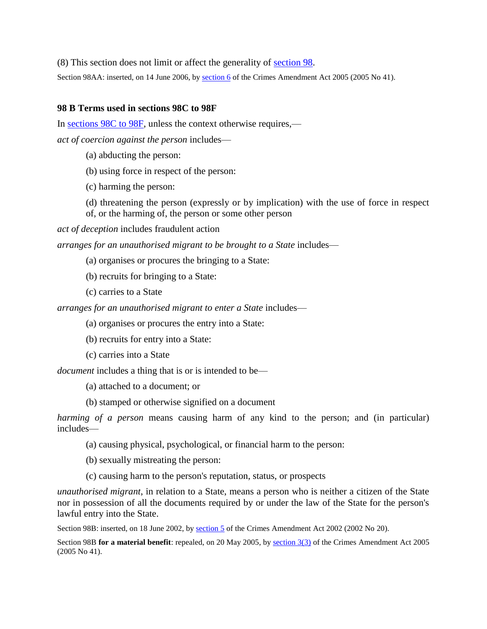(8) This section does not limit or affect the generality of [section 98.](http://www.legislation.govt.nz/act/public/1961/0043/latest/link.aspx?id=DLM328579#DLM328579)

Section 98AA: inserted, on 14 June 2006, by [section 6](http://www.legislation.govt.nz/act/public/1961/0043/latest/link.aspx?id=DLM346172#DLM346172) of the Crimes Amendment Act 2005 (2005 No 41).

#### **98 B Terms used in sections 98C to 98F**

In [sections 98C to 98F,](http://www.legislation.govt.nz/act/public/1961/0043/latest/link.aspx?id=DLM328720#DLM328720) unless the context otherwise requires, *act of coercion against the person* includes—

- (a) abducting the person:
- (b) using force in respect of the person:
- (c) harming the person:
- (d) threatening the person (expressly or by implication) with the use of force in respect of, or the harming of, the person or some other person

*act of deception* includes fraudulent action

*arranges for an unauthorised migrant to be brought to a State* includes—

- (a) organises or procures the bringing to a State:
- (b) recruits for bringing to a State:
- (c) carries to a State

*arranges for an unauthorised migrant to enter a State* includes—

- (a) organises or procures the entry into a State:
- (b) recruits for entry into a State:
- (c) carries into a State

*document* includes a thing that is or is intended to be—

(a) attached to a document; or

(b) stamped or otherwise signified on a document

*harming of a person* means causing harm of any kind to the person; and (in particular) includes—

- (a) causing physical, psychological, or financial harm to the person:
- (b) sexually mistreating the person:
- (c) causing harm to the person's reputation, status, or prospects

*unauthorised migrant*, in relation to a State, means a person who is neither a citizen of the State nor in possession of all the documents required by or under the law of the State for the person's lawful entry into the State.

Section 98B: inserted, on 18 June 2002, by [section 5](http://www.legislation.govt.nz/act/public/1961/0043/latest/link.aspx?id=DLM145431#DLM145431) of the Crimes Amendment Act 2002 (2002 No 20).

Section 98B **for a material benefit**: repealed, on 20 May 2005, by [section 3\(3\)](http://www.legislation.govt.nz/act/public/1961/0043/latest/link.aspx?id=DLM346161#DLM346161) of the Crimes Amendment Act 2005 (2005 No 41).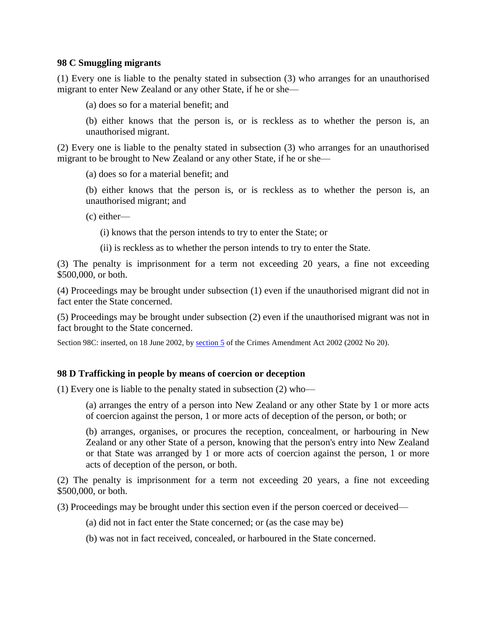#### **98 C Smuggling migrants**

(1) Every one is liable to the penalty stated in subsection (3) who arranges for an unauthorised migrant to enter New Zealand or any other State, if he or she—

(a) does so for a material benefit; and

(b) either knows that the person is, or is reckless as to whether the person is, an unauthorised migrant.

(2) Every one is liable to the penalty stated in subsection (3) who arranges for an unauthorised migrant to be brought to New Zealand or any other State, if he or she—

(a) does so for a material benefit; and

(b) either knows that the person is, or is reckless as to whether the person is, an unauthorised migrant; and

(c) either—

(i) knows that the person intends to try to enter the State; or

(ii) is reckless as to whether the person intends to try to enter the State.

(3) The penalty is imprisonment for a term not exceeding 20 years, a fine not exceeding \$500,000, or both.

(4) Proceedings may be brought under subsection (1) even if the unauthorised migrant did not in fact enter the State concerned.

(5) Proceedings may be brought under subsection (2) even if the unauthorised migrant was not in fact brought to the State concerned.

Section 98C: inserted, on 18 June 2002, by [section 5](http://www.legislation.govt.nz/act/public/1961/0043/latest/link.aspx?id=DLM145431#DLM145431) of the Crimes Amendment Act 2002 (2002 No 20).

## **98 D Trafficking in people by means of coercion or deception**

(1) Every one is liable to the penalty stated in subsection (2) who—

(a) arranges the entry of a person into New Zealand or any other State by 1 or more acts of coercion against the person, 1 or more acts of deception of the person, or both; or

(b) arranges, organises, or procures the reception, concealment, or harbouring in New Zealand or any other State of a person, knowing that the person's entry into New Zealand or that State was arranged by 1 or more acts of coercion against the person, 1 or more acts of deception of the person, or both.

(2) The penalty is imprisonment for a term not exceeding 20 years, a fine not exceeding \$500,000, or both.

(3) Proceedings may be brought under this section even if the person coerced or deceived—

(a) did not in fact enter the State concerned; or (as the case may be)

(b) was not in fact received, concealed, or harboured in the State concerned.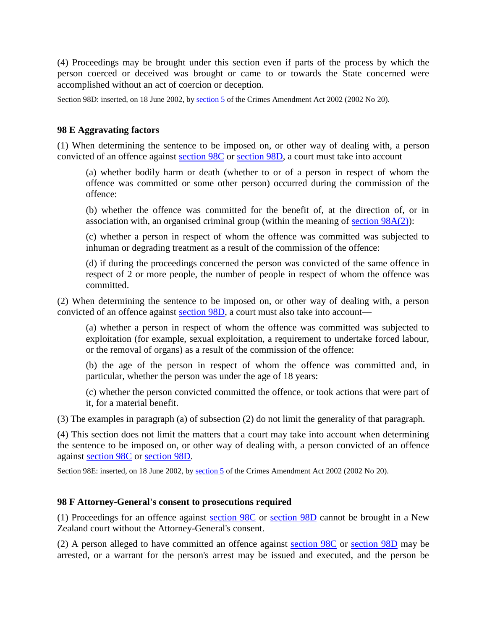(4) Proceedings may be brought under this section even if parts of the process by which the person coerced or deceived was brought or came to or towards the State concerned were accomplished without an act of coercion or deception.

Section 98D: inserted, on 18 June 2002, by [section 5](http://www.legislation.govt.nz/act/public/1961/0043/latest/link.aspx?id=DLM145431#DLM145431) of the Crimes Amendment Act 2002 (2002 No 20).

## **98 E Aggravating factors**

(1) When determining the sentence to be imposed on, or other way of dealing with, a person convicted of an offence against [section 98C](http://www.legislation.govt.nz/act/public/1961/0043/latest/link.aspx?id=DLM328720#DLM328720) or [section 98D,](http://www.legislation.govt.nz/act/public/1961/0043/latest/link.aspx?id=DLM328722#DLM328722) a court must take into account—

(a) whether bodily harm or death (whether to or of a person in respect of whom the offence was committed or some other person) occurred during the commission of the offence:

(b) whether the offence was committed for the benefit of, at the direction of, or in association with, an organised criminal group (within the meaning of section  $98A(2)$ ):

(c) whether a person in respect of whom the offence was committed was subjected to inhuman or degrading treatment as a result of the commission of the offence:

(d) if during the proceedings concerned the person was convicted of the same offence in respect of 2 or more people, the number of people in respect of whom the offence was committed.

(2) When determining the sentence to be imposed on, or other way of dealing with, a person convicted of an offence against [section 98D,](http://www.legislation.govt.nz/act/public/1961/0043/latest/link.aspx?id=DLM328722#DLM328722) a court must also take into account—

(a) whether a person in respect of whom the offence was committed was subjected to exploitation (for example, sexual exploitation, a requirement to undertake forced labour, or the removal of organs) as a result of the commission of the offence:

(b) the age of the person in respect of whom the offence was committed and, in particular, whether the person was under the age of 18 years:

(c) whether the person convicted committed the offence, or took actions that were part of it, for a material benefit.

(3) The examples in paragraph (a) of subsection (2) do not limit the generality of that paragraph.

(4) This section does not limit the matters that a court may take into account when determining the sentence to be imposed on, or other way of dealing with, a person convicted of an offence against [section 98C](http://www.legislation.govt.nz/act/public/1961/0043/latest/link.aspx?id=DLM328720#DLM328720) or [section 98D.](http://www.legislation.govt.nz/act/public/1961/0043/latest/link.aspx?id=DLM328722#DLM328722)

Section 98E: inserted, on 18 June 2002, by [section 5](http://www.legislation.govt.nz/act/public/1961/0043/latest/link.aspx?id=DLM145431#DLM145431) of the Crimes Amendment Act 2002 (2002 No 20).

#### **98 F Attorney-General's consent to prosecutions required**

(1) Proceedings for an offence against [section 98C](http://www.legislation.govt.nz/act/public/1961/0043/latest/link.aspx?id=DLM328720#DLM328720) or [section 98D](http://www.legislation.govt.nz/act/public/1961/0043/latest/link.aspx?id=DLM328722#DLM328722) cannot be brought in a New Zealand court without the Attorney-General's consent.

(2) A person alleged to have committed an offence against [section 98C](http://www.legislation.govt.nz/act/public/1961/0043/latest/link.aspx?id=DLM328720#DLM328720) or [section 98D](http://www.legislation.govt.nz/act/public/1961/0043/latest/link.aspx?id=DLM328722#DLM328722) may be arrested, or a warrant for the person's arrest may be issued and executed, and the person be